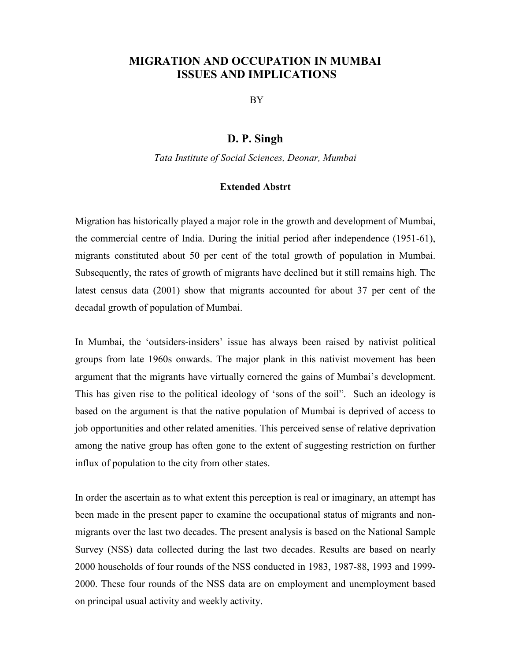## MIGRATION AND OCCUPATION IN MUMBAI ISSUES AND IMPLICATIONS

BY

## D. P. Singh

Tata Institute of Social Sciences, Deonar, Mumbai

## Extended Abstrt

Migration has historically played a major role in the growth and development of Mumbai, the commercial centre of India. During the initial period after independence (1951-61), migrants constituted about 50 per cent of the total growth of population in Mumbai. Subsequently, the rates of growth of migrants have declined but it still remains high. The latest census data (2001) show that migrants accounted for about 37 per cent of the decadal growth of population of Mumbai.

In Mumbai, the 'outsiders-insiders' issue has always been raised by nativist political groups from late 1960s onwards. The major plank in this nativist movement has been argument that the migrants have virtually cornered the gains of Mumbai's development. This has given rise to the political ideology of 'sons of the soil". Such an ideology is based on the argument is that the native population of Mumbai is deprived of access to job opportunities and other related amenities. This perceived sense of relative deprivation among the native group has often gone to the extent of suggesting restriction on further influx of population to the city from other states.

In order the ascertain as to what extent this perception is real or imaginary, an attempt has been made in the present paper to examine the occupational status of migrants and nonmigrants over the last two decades. The present analysis is based on the National Sample Survey (NSS) data collected during the last two decades. Results are based on nearly 2000 households of four rounds of the NSS conducted in 1983, 1987-88, 1993 and 1999- 2000. These four rounds of the NSS data are on employment and unemployment based on principal usual activity and weekly activity.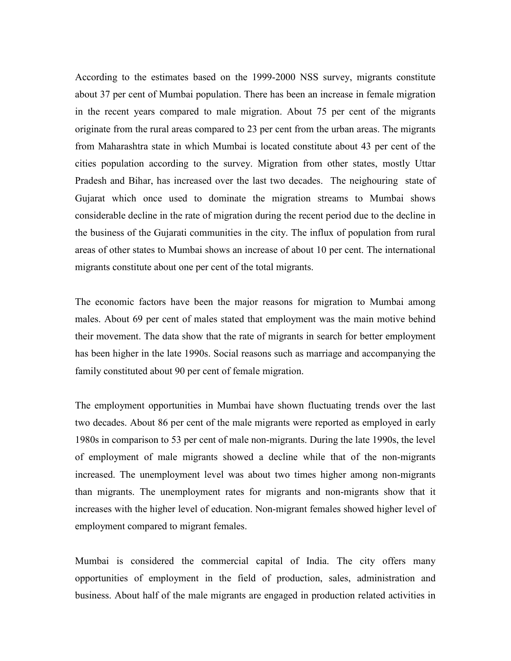According to the estimates based on the 1999-2000 NSS survey, migrants constitute about 37 per cent of Mumbai population. There has been an increase in female migration in the recent years compared to male migration. About 75 per cent of the migrants originate from the rural areas compared to 23 per cent from the urban areas. The migrants from Maharashtra state in which Mumbai is located constitute about 43 per cent of the cities population according to the survey. Migration from other states, mostly Uttar Pradesh and Bihar, has increased over the last two decades. The neighouring state of Gujarat which once used to dominate the migration streams to Mumbai shows considerable decline in the rate of migration during the recent period due to the decline in the business of the Gujarati communities in the city. The influx of population from rural areas of other states to Mumbai shows an increase of about 10 per cent. The international migrants constitute about one per cent of the total migrants.

The economic factors have been the major reasons for migration to Mumbai among males. About 69 per cent of males stated that employment was the main motive behind their movement. The data show that the rate of migrants in search for better employment has been higher in the late 1990s. Social reasons such as marriage and accompanying the family constituted about 90 per cent of female migration.

The employment opportunities in Mumbai have shown fluctuating trends over the last two decades. About 86 per cent of the male migrants were reported as employed in early 1980s in comparison to 53 per cent of male non-migrants. During the late 1990s, the level of employment of male migrants showed a decline while that of the non-migrants increased. The unemployment level was about two times higher among non-migrants than migrants. The unemployment rates for migrants and non-migrants show that it increases with the higher level of education. Non-migrant females showed higher level of employment compared to migrant females.

Mumbai is considered the commercial capital of India. The city offers many opportunities of employment in the field of production, sales, administration and business. About half of the male migrants are engaged in production related activities in